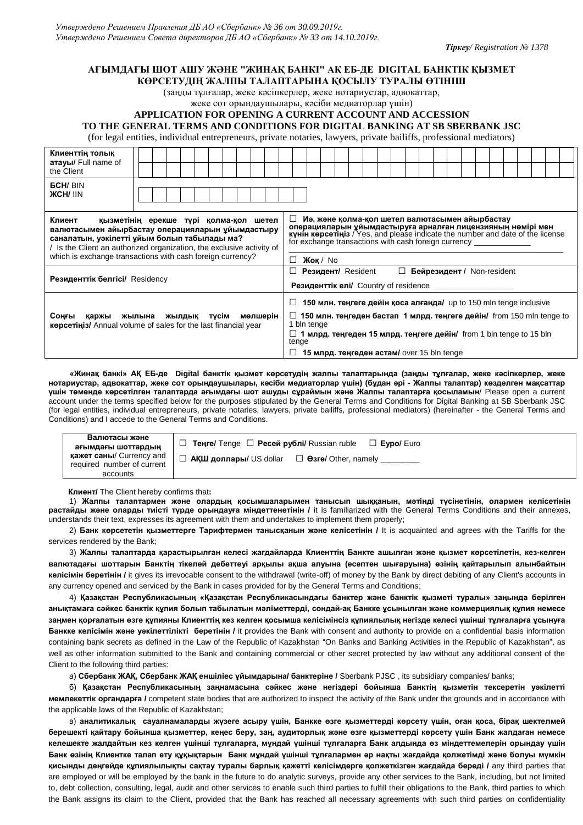*Тіркеу/ Registration № 1378*

## **АҒЫМДАҒЫ ШОТ АШУ ЖӘНЕ "ЖИНАҚ БАНКІ" АҚ ЕБ-ДЕ DIGITAL БАНКТІК ҚЫЗМЕТ КӨРСЕТУДІҢ ЖАЛПЫ ТАЛАПТАРЫНА ҚОСЫЛУ ТУРАЛЫ ӨТІНІШ**

(заңды тұлғалар, жеке кәсіпкерлер, жеке нотариустар, адвокаттар,

жеке сот орындаушылары, кәсіби медиаторлар үшін)

## **APPLICATION FOR OPENING A CURRENT ACCOUNT AND ACCESSION**

## **TO THE GENERAL TERMS AND CONDITIONS FOR DIGITAL BANKING AT SB SBERBANK JSC**

(for legal entities, individual entrepreneurs, private notaries, lawyers, private bailiffs, professional mediators)

| Клиенттің толық<br><b>атауы/</b> Full name of<br>the Client                                                                                                                                                                                                                               |                                                                                                                                                                                                                                                                                                             |  |  |  |  |  |  |  |  |
|-------------------------------------------------------------------------------------------------------------------------------------------------------------------------------------------------------------------------------------------------------------------------------------------|-------------------------------------------------------------------------------------------------------------------------------------------------------------------------------------------------------------------------------------------------------------------------------------------------------------|--|--|--|--|--|--|--|--|
| <b>GCH/BIN</b><br><b>ЖСНІ IIN</b>                                                                                                                                                                                                                                                         |                                                                                                                                                                                                                                                                                                             |  |  |  |  |  |  |  |  |
| Клиент<br>қызметінің ерекше түрі қолма-қол шетел<br>валютасымен айырбастау операцияларын ұйымдастыру<br>саналатын, уәкілетті ұйым болып табылады ма?<br>Is the Client an authorized organization, the exclusive activity of<br>which is exchange transactions with cash foreign currency? | Иә, және қолма-қол шетел валютасымен айырбастау<br>⊔ ⊢<br>операцияларын уйымдастыруға арналған лицензияның нөмірі мен<br>күнін көрсетіңіз / Yes, and please indicate the number and date of the license<br>for exchange transactions with cash foreign currency<br>$X$ ok / No<br>П                         |  |  |  |  |  |  |  |  |
| <b>Резиденттік белгісі/ Residency</b>                                                                                                                                                                                                                                                     | Бейрезидент / Non-resident<br><b>Резидент/ Resident</b><br>$\Box$<br>ΙI<br><b>Резиденттік елі/</b> Country of residence                                                                                                                                                                                     |  |  |  |  |  |  |  |  |
| мөлшерін<br>Соңғы<br>жылына жылдық<br>тусім<br>қаржы<br><b>Kepceting</b> Annual volume of sales for the last financial year                                                                                                                                                               | 150 млн. теңгеге дейін қоса алғанда/ up to 150 mln tenge inclusive<br>П<br>$\Box$ 150 млн. теңгеден бастап 1 млрд. теңгеге дейін/ from 150 mln tenge to<br>1 bln tenge<br>$\Box$ 1 млрд. теңгеден 15 млрд. теңгеге дейін/ from 1 bln tenge to 15 bln<br>tenge<br>15 млрд. теңгеден астам/ over 15 bln tenge |  |  |  |  |  |  |  |  |

 **«Жинақ банкі» АҚ ЕБ-де Digital банктік қызмет кӛрсетудің жалпы талаптарында (заңды тұлғалар, жеке кәсіпкерлер, жеке нотариустар, адвокаттар, жеке сот орындаушылары, кәсіби медиаторлар үшін) (бұдан әрі - Жалпы талаптар) кӛзделген мақсаттар үшін тӛменде кӛрсетілген талаптарда ағымдағы шот ашуды сұраймын және Жалпы талаптарға қосыламын**/ Please open a current account under the terms specified below for the purposes stipulated by the General Terms and Conditions for Digital Banking at SB Sberbank JSC (for legal entities, individual entrepreneurs, private notaries, lawyers, private bailiffs, professional mediators) (hereinafter - the General Terms and Conditions) and I accede to the General Terms and Conditions.

| Валютасы және                                                 | Теңге/ Tenge □ Ресей рублі/ Russian ruble<br>$\Box$ Evpo/ Euro             |  |  |  |  |  |  |
|---------------------------------------------------------------|----------------------------------------------------------------------------|--|--|--|--|--|--|
| ағымдағы шоттардың                                            |                                                                            |  |  |  |  |  |  |
| <b>қажет саны/ Currency and</b><br>required number of current | $\Box$ <b>АҚШ доллары/</b> US dollar<br>$\Box$ $\Theta$ 3re/ Other, namely |  |  |  |  |  |  |
| accounts                                                      |                                                                            |  |  |  |  |  |  |

**Клиент/** The Client hereby confirms that**:**

1) **Жалпы талаптармен және олардың қосымшаларымен танысып шыққанын, мәтінді түсінетінін, олармен келісетінін растайды және оларды тиісті түрде орындауға міндеттенетінін /** it is familiarized with the General Terms Conditions and their annexes, understands their text, expresses its agreement with them and undertakes to implement them properly;

2) **Банк кӛрсететін қызметтерге Тарифтермен танысқанын және келісетінін /** It is acquainted and agrees with the Tariffs for the services rendered by the Bank;

3) **Жалпы талаптарда қарастырылған келесі жағдайларда Клиенттің Банкте ашылған және қызмет кӛрсетілетін, кез-келген валютадағы шоттарын Банктің тікелей дебеттеуі арқылы ақша алуына (есептен шығаруына) ӛзінің қайтарылып алынбайтын келісімін беретінін /** it gives its irrevocable consent to the withdrawal (write-off) of money by the Bank by direct debiting of any Client's accounts in any currency opened and serviced by the Bank in cases provided for by the General Terms and Conditions;

4) **Қазақстан Республикасының «Қазақстан Республикасындағы банктер және банктік қызметі туралы» заңында берілген анықтамаға сәйкес банктік құпия болып табылатын мәліметтерді, сондай-ақ Банкке ұсынылған және коммерциялық құпия немесе** заңмен қорғалатын өзге құпияны Клиенттің кез келген қосымша келісімінсіз құпиялылық негізде келесі үшінші тұлғаларға ұсынуға **Банкке келісімін және уәкілеттілікті беретінін /** it provides the Bank with consent and authority to provide on a confidential basis information containing bank secrets as defined in the Law of the Republic of Kazakhstan "On Banks and Banking Activities in the Republic of Kazakhstan", as well as other information submitted to the Bank and containing commercial or other secret protected by law without any additional consent of the Client to the following third parties:

а) **Сбербанк ЖАҚ, Сбербанк ЖАҚ еншіліес ұйымдарына/ банктеріне /** Sberbank PJSC , its subsidiary companies/ banks;

б) **Қазақстан Республикасының заңнамасына сәйкес және негіздері бойынша Банктің қызметін тексеретін уәкілетті мемлекеттік органдарға /** competent state bodies that are authorized to inspect the activity of the Bank under the grounds and in accordance with the applicable laws of the Republic of Kazakhstan;

в) **аналитикалық сауалнамаларды жүзеге асыру үшін, Банкке ӛзге қызметтерді кӛрсету үшін, оған қоса, бірақ шектелмей берешекті қайтару бойынша қызметтер, кеңес беру, заң, аудиторлық және ӛзге қызметтерді кӛрсету үшін Банк жалдаған немесе келешекте жалдайтын кез келген үшінші тұлғаларға, мұндай үшінші тұлғаларға Банк алдында ӛз міндеттемелерін орындау үшін** Банк өзінің Клиентке талап ету құқықтарын Банк мұндай үшінші тұлғалармен әр нақты жағдайда қолжетімді және болуы мүмкін **қисынды деңгейде құпиялылықты сақтау туралы барлық қажетті келісімдерге қолжеткізген жағдайда береді /** any third parties that are employed or will be employed by the bank in the future to do analytic surveys, provide any other services to the Bank, including, but not limited to, debt collection, consulting, legal, audit and other services to enable such third parties to fulfill their obligations to the Bank, third parties to which the Bank assigns its claim to the Client, provided that the Bank has reached all necessary agreements with such third parties on confidentiality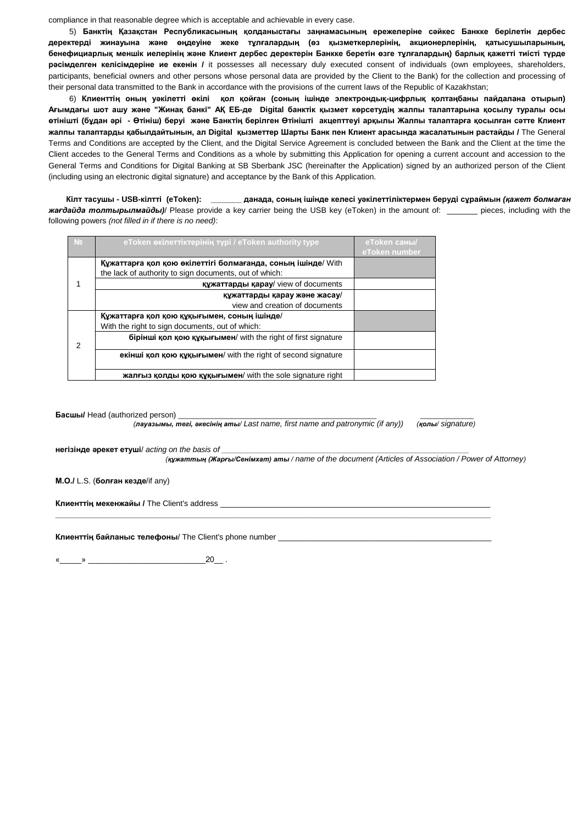compliance in that reasonable degree which is acceptable and achievable in every case.

5) **Банктің Қазақстан Республикасының қолданыстағы заңнамасының ережелеріне сәйкес Банкке берілетін дербес деректерді жинауына және ӛңдеуіне жеке тұлғалардың (ӛз қызметкерлерінің, акционерлерінің, қатысушыларының, бенефициарлық меншік иелерінің және Клиент дербес деректерін Банкке беретін ӛзге тұлғалардың) барлық қажетті тиісті түрде рәсімделген келісімдеріне ие екенін /** it possesses all necessary duly executed consent of individuals (own employees, shareholders, participants, beneficial owners and other persons whose personal data are provided by the Client to the Bank) for the collection and processing of their personal data transmitted to the Bank in accordance with the provisions of the current laws of the Republic of Kazakhstan;

6) **Клиенттің оның уәкілетті ӛкілі қол қойған (соның ішінде электрондық-цифрлық қолтаңбаны пайдалана отырып) Ағымдағы шот ашу және "Жинақ банкі" АҚ ЕБ-де Digital банктік қызмет кӛрсетудің жалпы талаптарына қосылу туралы осы ӛтінішті (бұдан әрі - Ӛтініш) беруі және Банктің берілген Ӛтінішті акцепттеуі арқылы Жалпы талаптарға қосылған сәтте Клиент жалпы талаптарды қабылдайтынын, ал Digital қызметтер Шарты Банк пен Клиент арасында жасалатынын растайды /** The General Terms and Conditions are accepted by the Client, and the Digital Service Agreement is concluded between the Bank and the Client at the time the Client accedes to the General Terms and Conditions as a whole by submitting this Application for opening a current account and accession to the General Terms and Conditions for Digital Banking at SB Sberbank JSC (hereinafter the Application) signed by an authorized person of the Client (including using an electronic digital signature) and acceptance by the Bank of this Application.

 **Кілт тасушы - USB-кілтті (eToken): \_\_\_\_\_\_\_ данада, соның ішінде келесі уәкілеттіліктермен беруді сұраймын** *(қажет болмаған жағдайда толтырылмайды)*/ Please provide a key carrier being the USB key (eToken) in the amount of: \_\_\_\_\_\_\_ pieces, including with the following powers *(not filled in if there is no need)*:

| N <sub>2</sub> | eToken өкілеттіктерінің түрі / eToken authority type                                                                   | eToken саны/<br>eToken number |
|----------------|------------------------------------------------------------------------------------------------------------------------|-------------------------------|
|                | Құжаттарға қол қою өкілеттігі болмағанда, соның ішінде/ With<br>the lack of authority to sign documents, out of which: |                               |
|                | құжаттарды қарау/ view of documents                                                                                    |                               |
|                | құжаттарды қарау және жасау/<br>view and creation of documents                                                         |                               |
| 2              | Құжаттарға қол қою құқығымен, соның ішінде/<br>With the right to sign documents, out of which:                         |                               |
|                | бірінші қол қою құқығымен/ with the right of first signature                                                           |                               |
|                | екінші қол қою құқығымен/ with the right of second signature                                                           |                               |
|                | жалғыз қолды қою құқығымен/ with the sole signature right                                                              |                               |

**Басшы/** Head (authorized person)

 *(лауазымы, тегі, әкесінің аты/ Last name, first name and patronymic (if any)) (қолы/ signature)*

**\_\_\_\_\_\_\_\_\_\_\_\_\_\_\_\_\_\_\_\_\_\_\_\_\_\_\_\_\_\_\_\_\_\_\_\_\_\_\_\_\_\_\_\_\_\_\_\_\_\_\_\_\_\_\_\_\_\_\_\_\_\_\_\_\_\_\_\_\_\_\_\_\_\_\_\_\_\_\_\_\_\_\_\_\_\_\_\_\_\_\_\_\_\_\_\_\_\_\_\_**

**негізінде әрекет етуші**/ *acting on the basis of \_\_\_\_\_\_\_\_\_\_\_\_\_\_\_\_\_\_\_\_\_\_\_\_\_\_\_\_\_\_\_\_\_\_\_\_\_\_\_\_\_\_\_\_\_\_\_\_\_\_\_\_\_\_\_\_\_\_\_\_\_\_\_\_\_*

 *(құжаттың (Жарғы/Сенімхат) аты / name of the document (Articles of Association / Power of Attorney)*

**М.О./** L.S. (**болған кезде**/if any)

**Клиенттің мекенжайы /** The Client's address \_\_\_\_\_\_\_\_\_\_\_\_\_\_\_\_\_\_\_\_\_\_\_\_\_\_\_\_\_\_\_\_\_\_\_\_\_\_\_\_\_\_\_\_\_\_\_\_\_\_\_\_\_\_\_\_\_\_\_\_\_\_

**Клиенттің байланыс телефоны**/ The Client's phone number \_\_\_\_\_\_\_\_\_\_\_\_\_\_\_\_\_\_\_\_\_\_\_\_\_\_\_\_\_\_\_\_\_\_\_\_\_\_\_\_\_\_\_\_\_\_\_\_\_

«\_\_\_\_\_» \_\_\_\_\_\_\_\_\_\_\_\_\_\_\_\_\_\_\_\_\_\_\_\_\_\_\_20\_\_ .